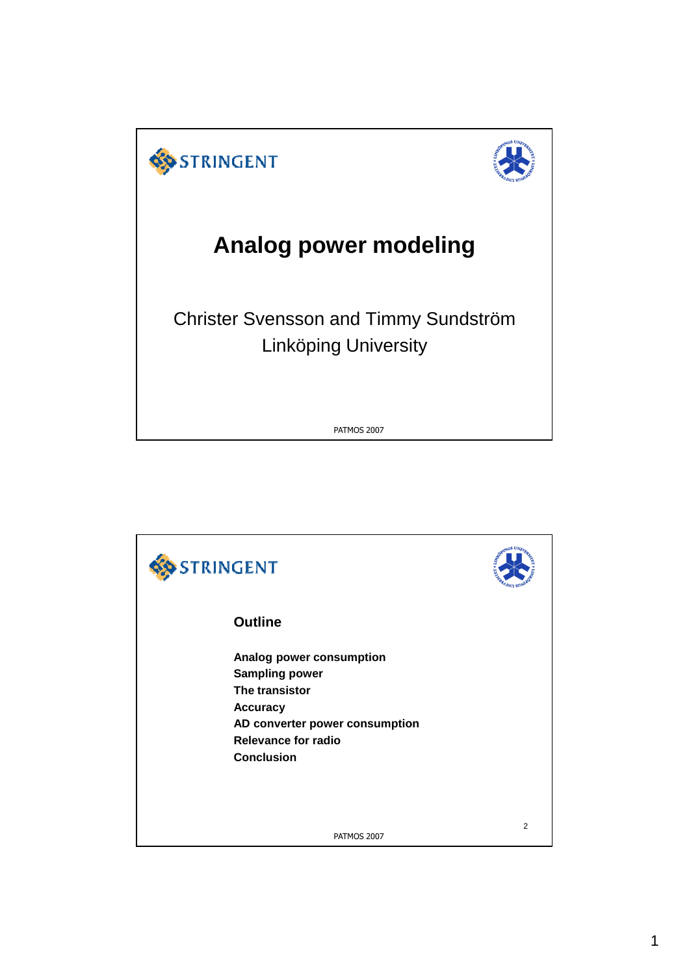

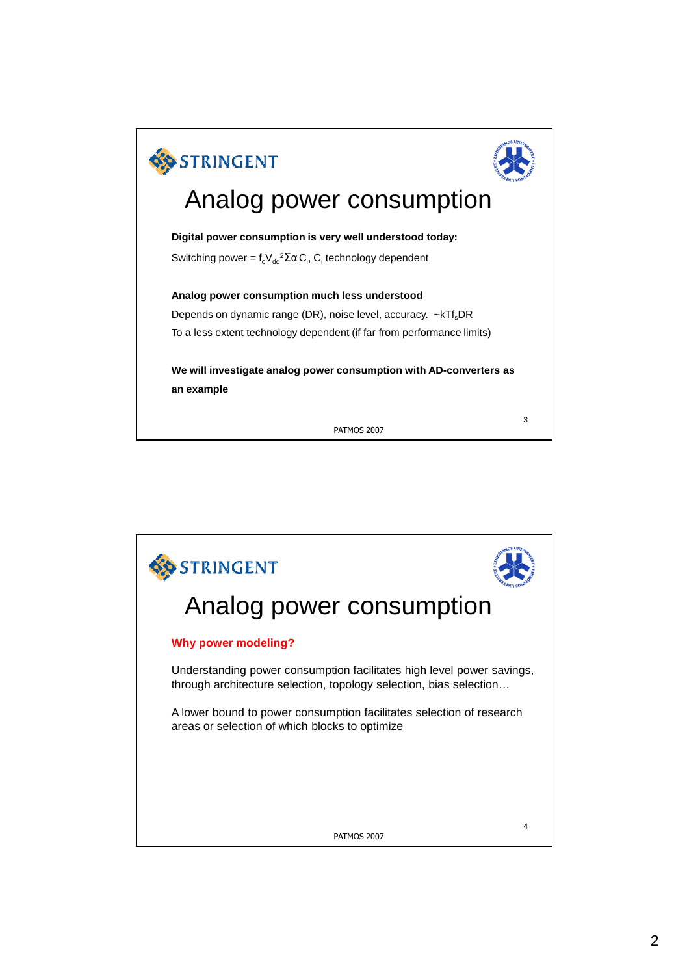

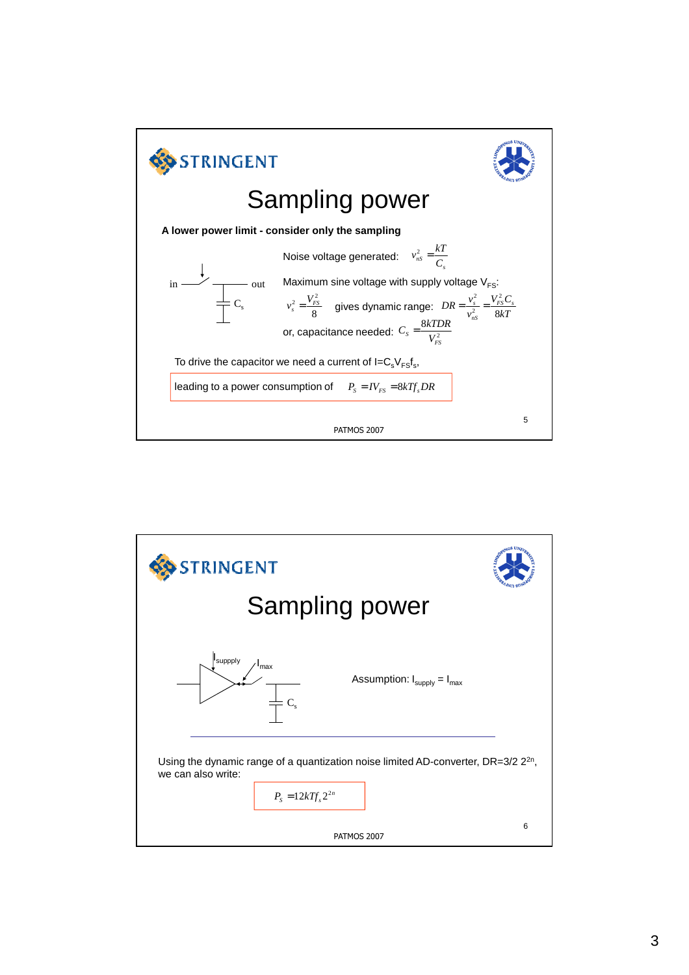

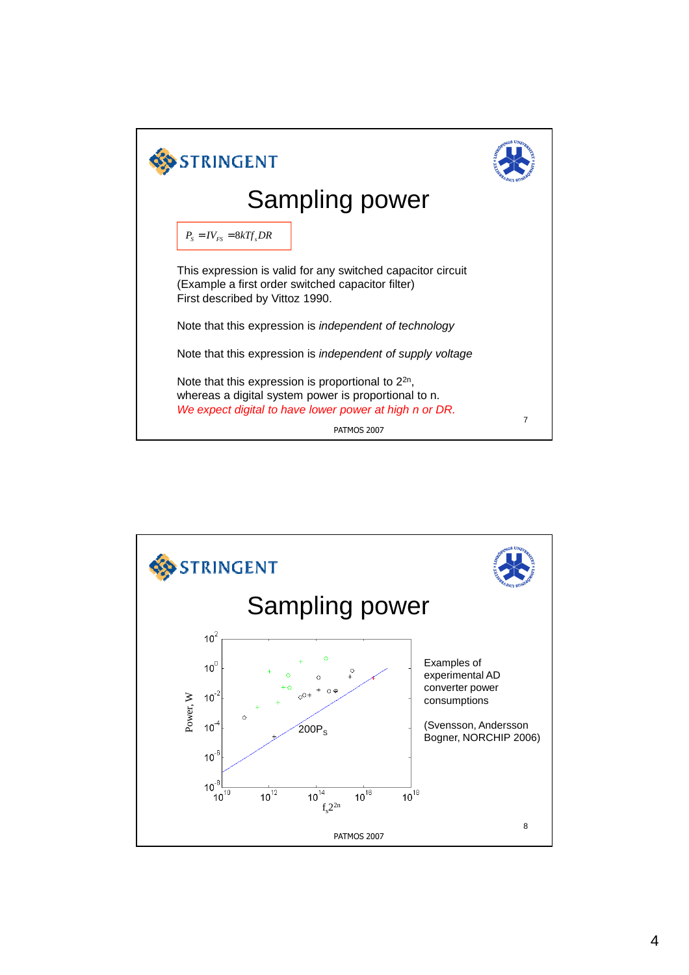

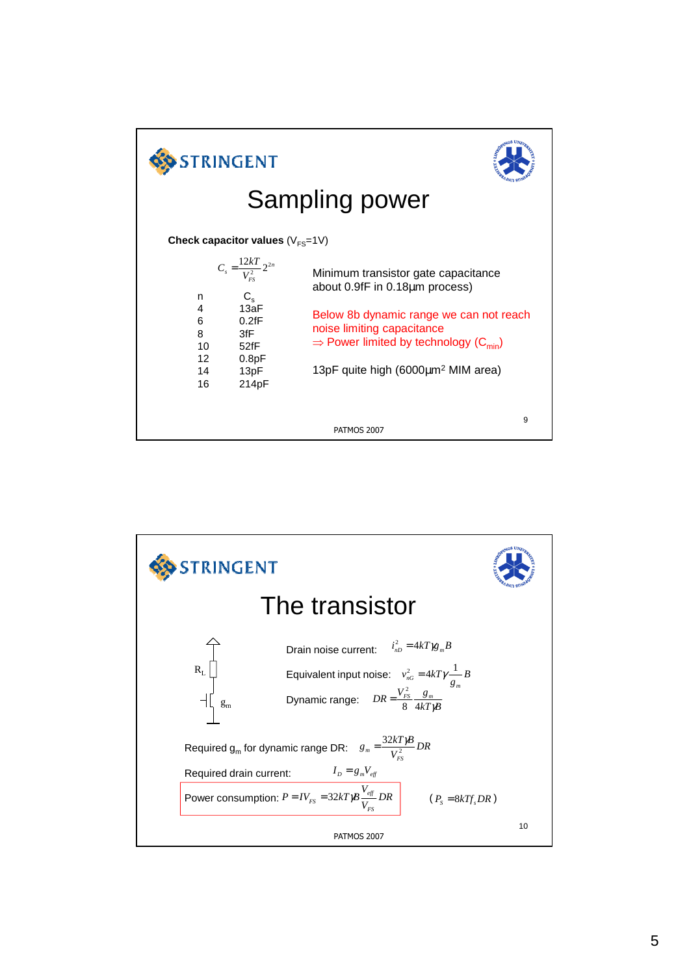

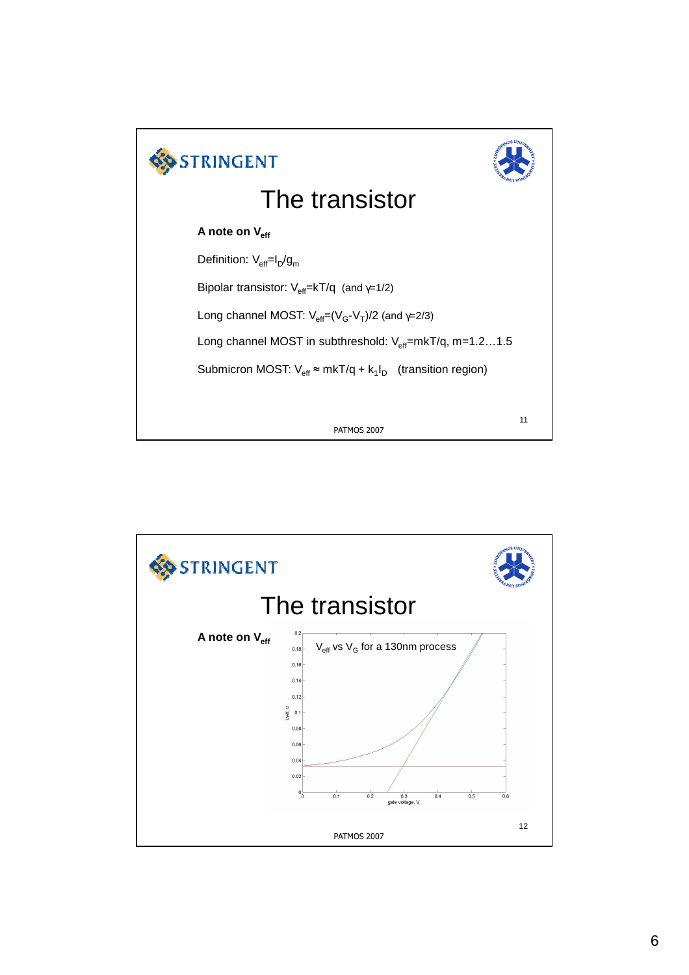

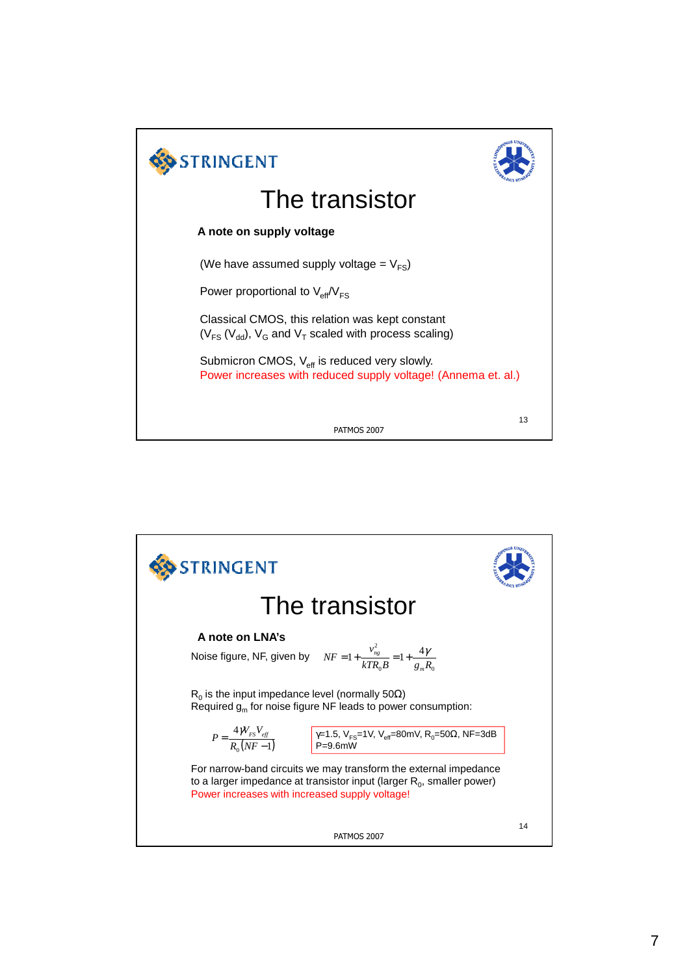

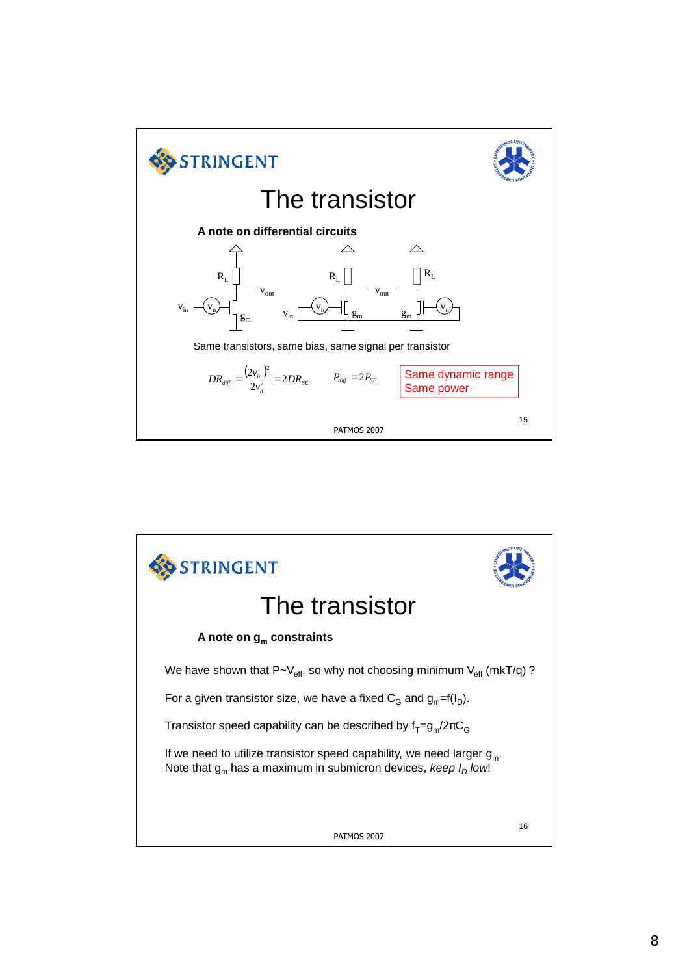

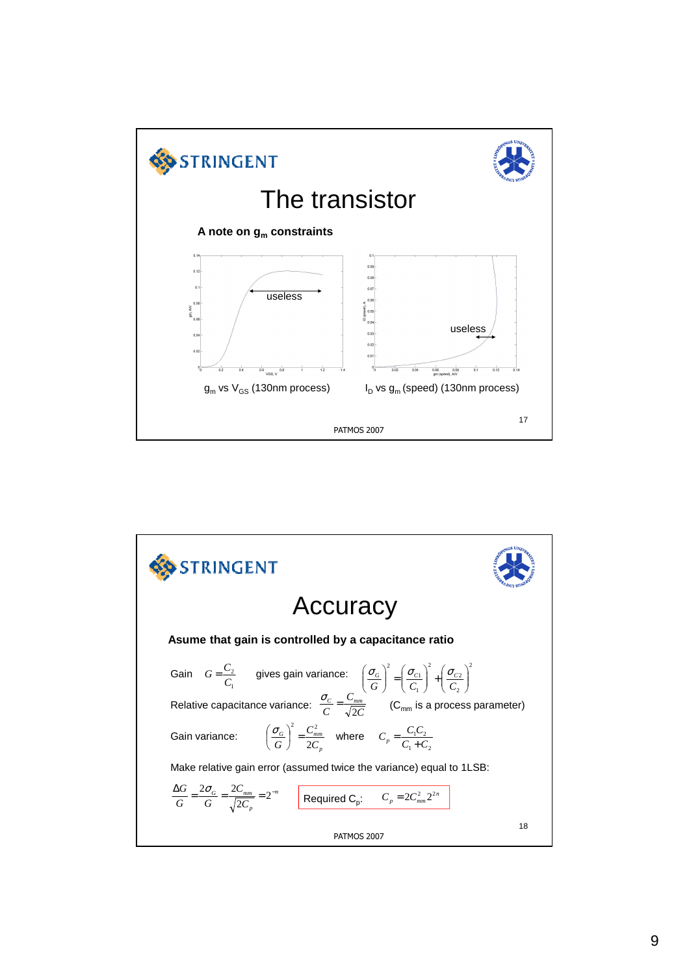

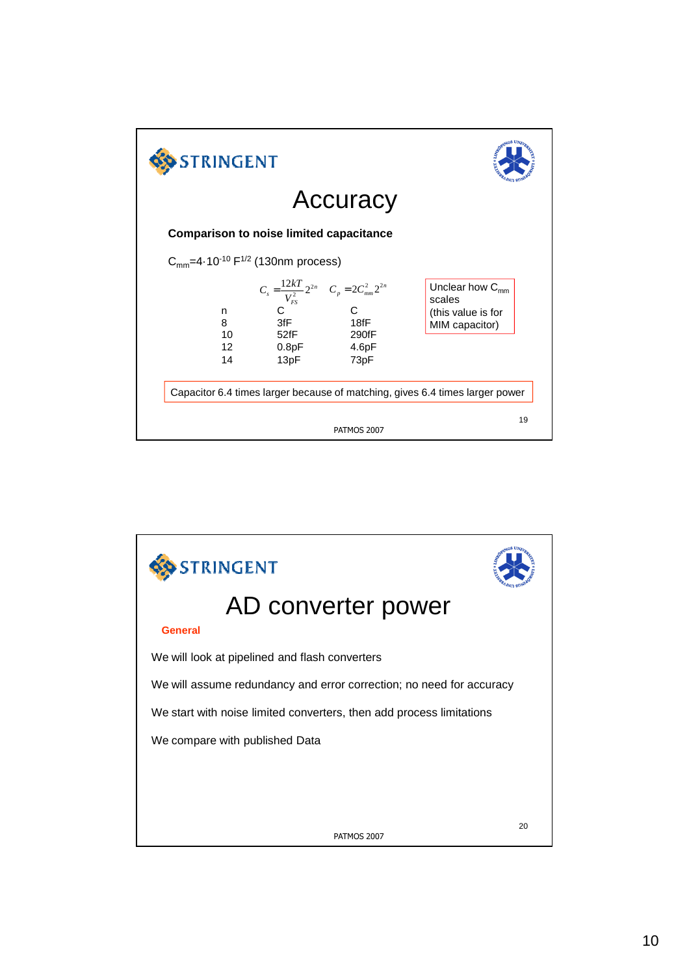

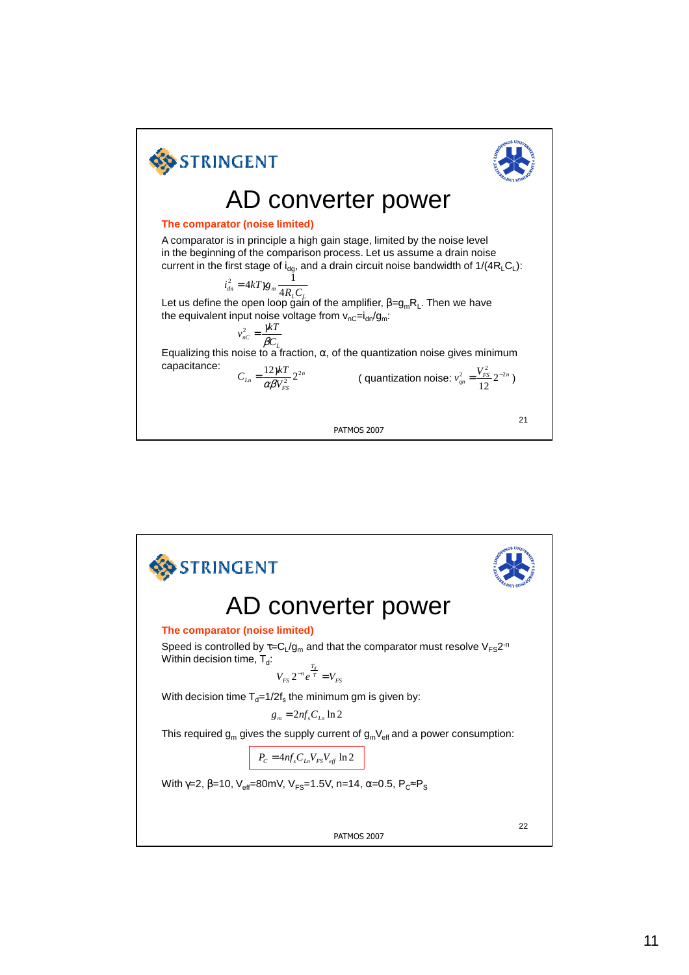

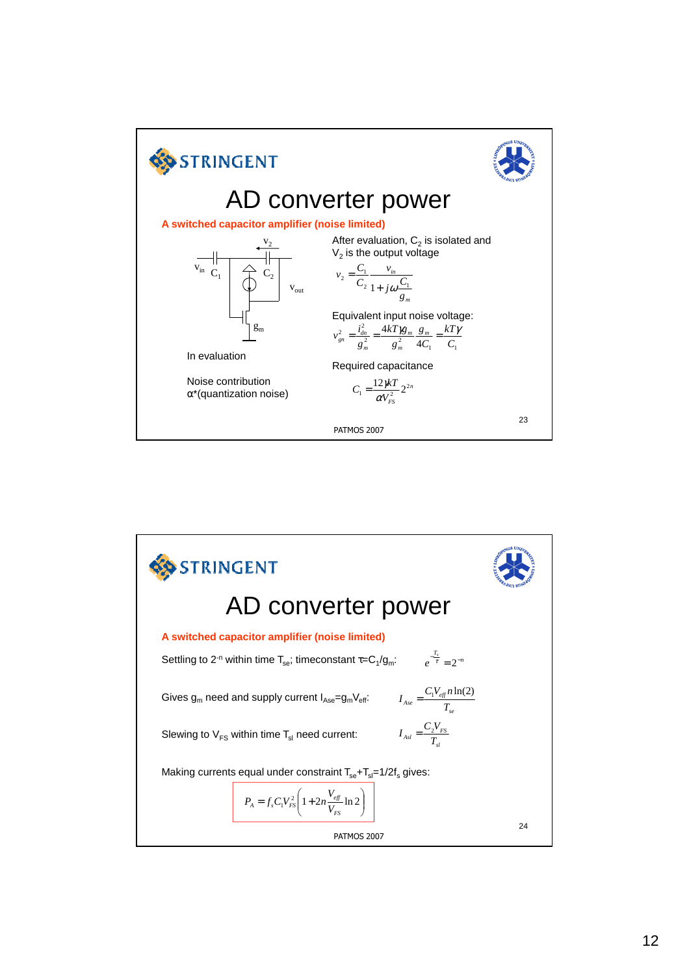

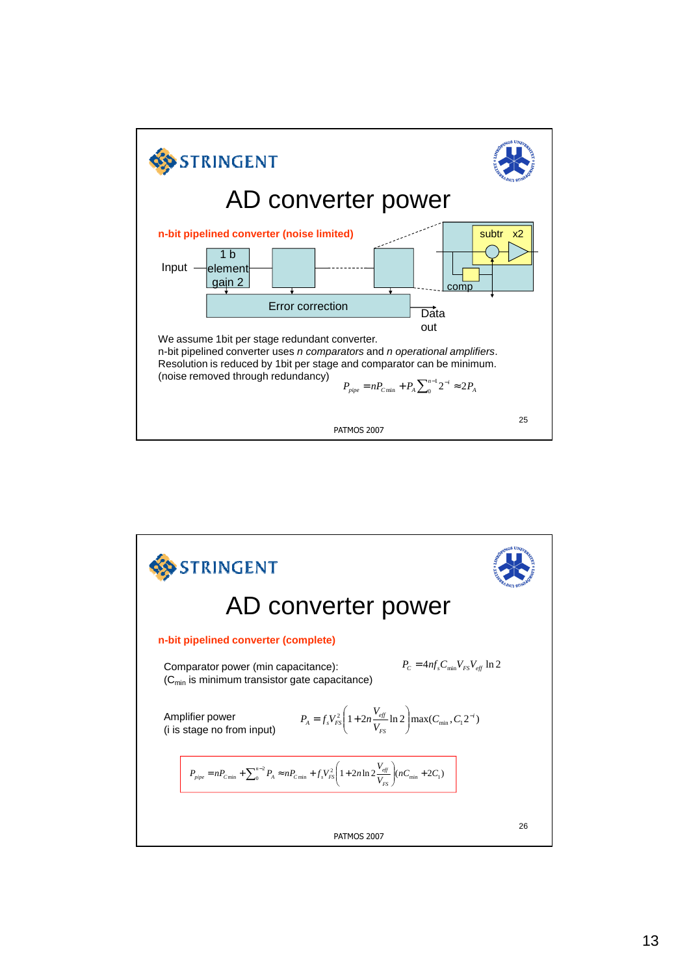

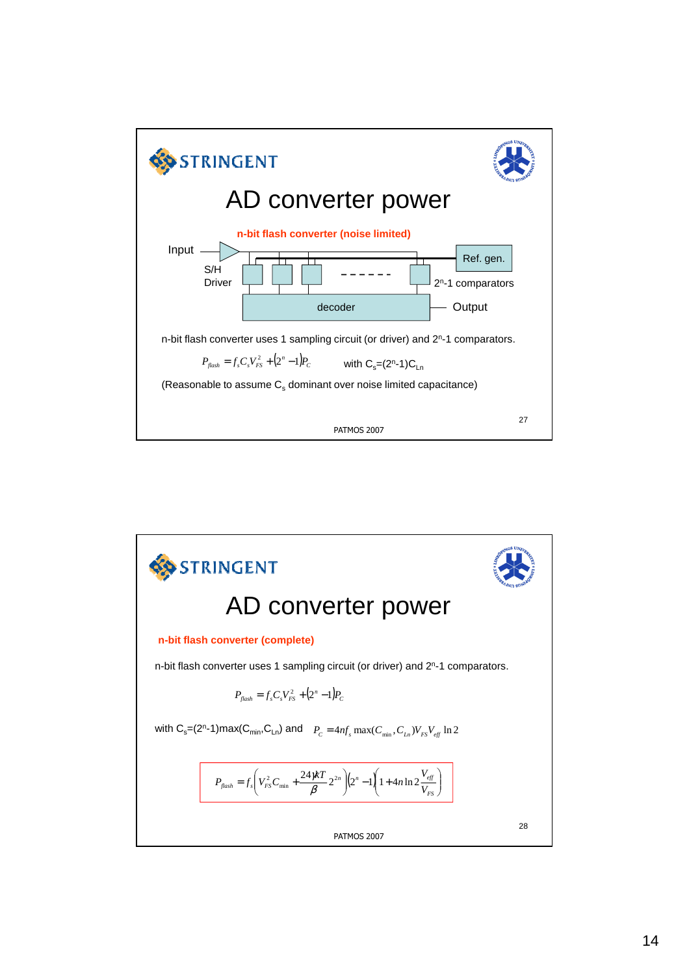

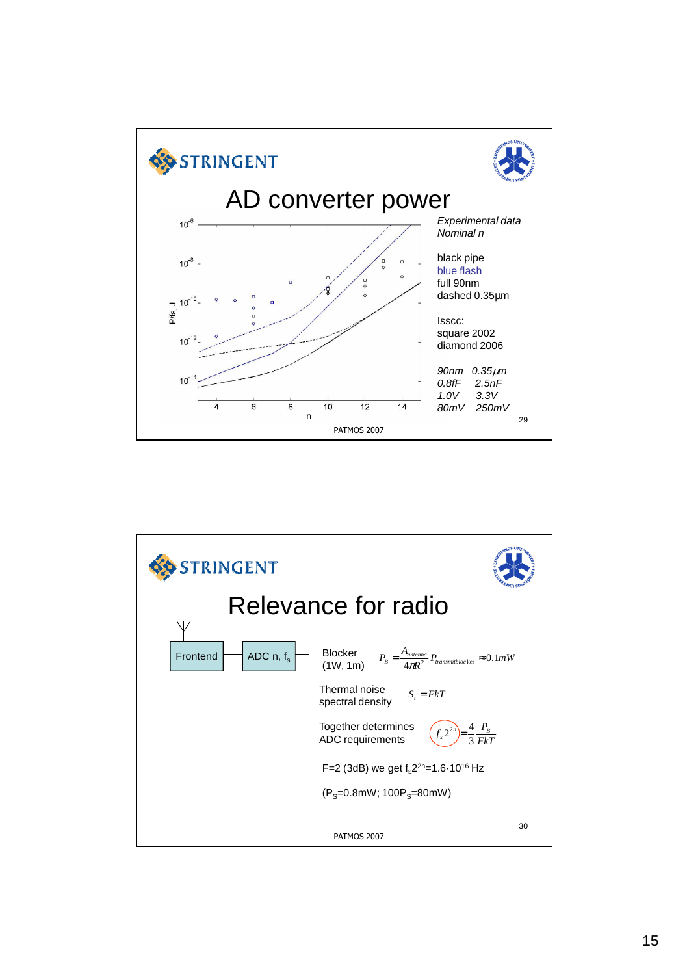